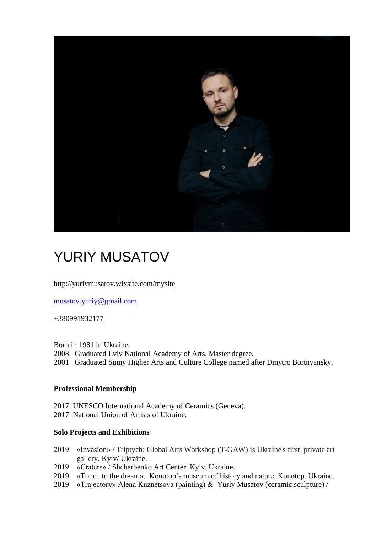

# YURIY MUSATOV

<http://yuriymusatov.wixsite.com/mysite>

[musatov.yuriy@gmail.com](mailto:musatov.yuriy@gmail.com)

#### +380991932177

Born in 1981 in Ukraine. 2008 Graduated Lviv National Academy of Arts. Master degree. 2001 Graduated Sumy Higher Arts and Culture College named after Dmytro Bortnyansky.

#### **Professional Membership**

2017 UNESCO International Academy of Ceramics (Geneva).

2017 National Union of Artists of Ukraine.

#### **Solo Projects and Exhibitions**

- 2019 «Invasion» / Triptych: Global Arts Workshop (T-GAW) is Ukraine's first private art gallery. Kyiv/ Ukraine.
- 2019 «Craters» / Shcherbenko Art Center. Kyiv. Ukraine.
- 2019 «Touch to the dream». Konotop's museum of history and nature. Konotop. Ukraine.
- 2019 «Trajectory» Alena Kuznetsova (painting) & Yuriy Musatov (ceramic sculpture) /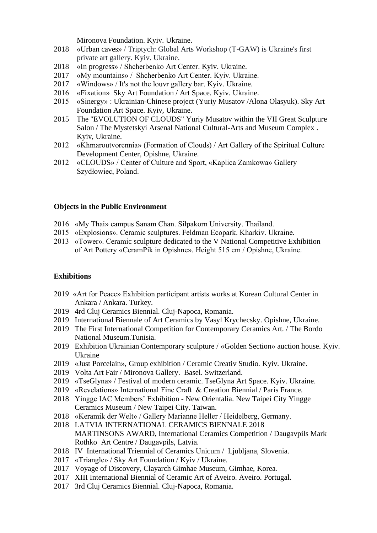Mironova Foundation. Kyiv. Ukraine.

- 2018 «Urban caves» / Triptych: Global Arts Workshop (T-GAW) is Ukraine's first private art gallery. Kyiv. Ukraine.
- 2018 «In progress» / Shcherbenko Art Center. Kyiv. Ukraine.
- 2017 «My mountains» / Shcherbenko Art Center. Kyiv. Ukraine.
- 2017 «Windows» / It's not the louvr gallery bar. Kyiv. Ukraine.
- 2016 «Fixation» Sky Art Foundation / Art Space. Kyiv. Ukraine.
- 2015 «Sinergy» : Ukrainian-Chinese project (Yuriy Musatov /Alona Olasyuk). Sky Art Foundation Art Space. Kyiv, Ukraine.
- 2015 The "EVOLUTION OF CLOUDS" Yuriy Musatov within the VII Great Sculpture Salon / The Mystetskyi Arsenal National Cultural-Arts and Museum Complex . Kyiv, Ukraine.
- 2012 «Khmaroutvorennia» (Formation of Clouds) / Art Gallery of the Spiritual Culture Development Center, Opishne, Ukraine.
- 2012 «CLOUDS» / Center of Culture and Sport, «Kaplica Zamkowa» Gallery Szydłowiec, Poland.

#### **Objects in the Public Environment**

- 2016 «My Thai» campus Sanam Chan. Silpakorn University. Thailand.
- 2015 «Explosions». Ceramic sculptures. Feldman Ecopark. Kharkiv. Ukraine.
- 2013 «Tower». Ceramic sculpture dedicated to the V National Competitive Exhibition of Art Pottery «CeramPik in Opishne». Height 515 cm / Opishne, Ukraine.

#### **Exhibitions**

- 2019 «Art for Peace» Exhibition participant artists works at Korean Cultural Center in Ankara / Ankara. Turkey.
- 2019 4rd Cluj Ceramics Biennial. Cluj-Napoca, Romania.
- 2019 International Biennale of Art Ceramics by Vasyl Krychecsky. Opishne, Ukraine.
- 2019 The First International Competition for Contemporary Ceramics Art. / The Bordo National Museum.Tunisia.
- 2019 Exhibition Ukrainian Contemporary sculpture / «Golden Section» auction house. Kyiv. Ukraine
- 2019 «Just Porcelain», Group exhibition / Ceramic Creativ Studio. Kyiv. Ukraine.
- 2019 Volta Art Fair / Mironova Gallery. Basel. Switzerland.
- 2019 «TseGlyna» / Festival of modern ceramic. TseGlyna Art Space. Kyiv. Ukraine.
- 2019 «Revelations» International Fine Craft & Creation Biennial / Paris France.
- 2018 Yingge IAC Members' Exhibition New Orientalia. New Taipei City Yingge Ceramics Museum / New Taipei City. Taiwan.
- 2018 «Keramik der Welt» / Gallery Marianne Heller / Heidelberg, Germany.
- 2018 LATVIA INTERNATIONAL CERAMICS BIENNALE 2018 MARTINSONS AWARD, International Ceramics Competition / Daugavpils Mark Rothko Art Centre / Daugavpils, Latvia.
- 2018 IV International Triennial of Ceramics Unicum / Ljubljana, Slovenia.
- 2017 «Triangle» / Sky Art Foundation / Kyiv / Ukraine.
- 2017 Voyage of Discovery, Clayarch Gimhae Museum, Gimhae, Korea.
- 2017 XIII International Biennial of Ceramic Art of Aveiro. Aveiro. Portugal.
- 2017 3rd Cluj Ceramics Biennial. Cluj-Napoca, Romania.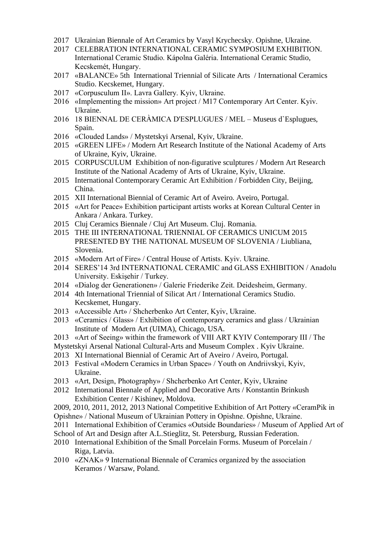- 2017 Ukrainian Biennale of Art Ceramics by Vasyl Krychecsky. Opishne, Ukraine.
- 2017 CELEBRATION INTERNATIONAL CERAMIC SYMPOSIUM EXHIBITION. International Ceramic Studio. Kápolna Galéria. International Ceramic Studio, Kecskemét, Hungary.
- 2017 «BALANCE» 5th International Triennial of Silicate Arts / International Ceramics Studio. Kecskemet, Hungary.
- 2017 «Corpusculum II». Lavra Gallery. Kyiv, Ukraine.
- 2016 «Implementing the mission» Art project / M17 Contemporary Art Center. Kyiv. Ukraine.
- 2016 18 BIENNAL DE CERÀMICA D'ESPLUGUES / MEL Museus d`Esplugues, Spain.
- 2016 «Clouded Lands» / Mystetskyi Arsenal, Kyiv, Ukraine.
- 2015 «GREEN LIFE» / Modern Art Research Institute of the National Academy of Arts of Ukraine, Kyiv, Ukraine.
- 2015 CORPUSCULUM Exhibition of non-figurative sculptures / Modern Art Research Institute of the National Academy of Arts of Ukraine, Kyiv, Ukraine.
- 2015 International Contemporary Ceramic Art Exhibition / Forbidden City, Beijing, China.
- 2015 XII International Biennial of Ceramic Art of Aveiro. Aveiro, Portugal.
- 2015 «Art for Peace» Exhibition participant artists works at Korean Cultural Center in Ankara / Ankara. Turkey.
- 2015 Cluj Ceramics Biennale / Cluj Art Museum. Cluj. Romania.
- 2015 THE III INTERNATIONAL TRIENNIAL OF CERAMICS UNICUM 2015 PRESENTED BY THE NATIONAL MUSEUM OF SLOVENIA / Liubliana, Slovenia.
- 2015 «Modern Art of Fire» / Central House of Artists. Kyiv. Ukraine.
- 2014 SERES'14 3rd INTERNATIONAL CERAMIC and GLASS EXHIBITION / Anadolu University. Eskişehir / Turkey.
- 2014 «Dialog der Generationen» / Galerie Friederike Zeit. Deidesheim, Germany.
- 2014 4th International Triennial of Silicat Art / International Ceramics Studio. Kecskemet, Hungary.
- 2013 «Accessible Art» / Shcherbenko Art Center, Kyiv, Ukraine.
- 2013 «Сeramics / Glass» / Exhibition of contemporary ceramics and glass / Ukrainian Institute of Modern Art (UIMA), Chicago, USA.
- 2013 «Art of Seeing» within the framework of VIII ART KYIV Contemporary III / The
- Mystetskyi Arsenal National Cultural-Arts and Museum Complex . Kyiv Ukraine.
- 2013 XI International Biennial of Ceramic Art of Aveiro / Aveiro, Portugal.
- 2013 Festival «Modern Ceramics in Urban Space» / Youth on Andriivskyi, Kyiv, Ukraine.
- 2013 «Art, Design, Photography» / Shcherbenko Art Center, Kyiv, Ukraine
- 2012 International Biennale of Applied and Decorative Arts / Konstantin Brinkush Exhibition Center / Kishinev, Moldova.
- 2009, 2010, 2011, 2012, 2013 National Competitive Exhibition of Art Pottery «CeramPik in
- Opishne» / National Museum of Ukrainian Pottery in Opishne. Opishne, Ukraine.
- 2011 International Exhibition of Ceramics «Outside Boundaries» / Museum of Applied Art of
- School of Art and Design after A.L.Stieglitz, St. Petersburg, Russian Federation.
- 2010 International Exhibition of the Small Porcelain Forms. Museum of Porcelain / Riga, Latvia.
- 2010 «ZNAK» 9 International Biennale of Ceramics organized by the association Keramos / Warsaw, Poland.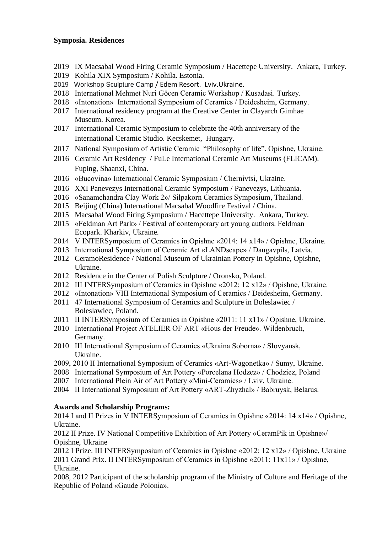## **Symposia. Residences**

- 2019 IX Macsabal Wood Firing Ceramic Symposium / Hacettepe University. Ankara, Turkey.
- 2019 Kohila XIX Symposium / Kohila. Estonia.
- 2019 Workshop Sculpture Camp / Edem Resort. Lviv.Ukraine.
- 2018 International Mehmet Nuri Göcen Ceramic Workshop / Kusadasi. Turkey.
- 2018 «Intonation» International Symposium of Ceramics / Deidesheim, Germany.
- 2017 International residency program at the Creative Center in Clayarch Gimhae Museum. Korea.
- 2017 International Ceramic Symposium to celebrate the 40th anniversary of the International Ceramic Studio. Kecskemet, Hungary.
- 2017 National Symposium of Artistic Ceramic "Philosophy of life". Opishne, Ukraine.
- 2016 Ceramic Art Residency / FuLe International Ceramic Art Museums (FLICAM). Fuping, Shaanxi, China.
- 2016 «Bucovina» International Ceramic Symposium / Chernivtsi, Ukraine.
- 2016 XXI Panevezys International Ceramic Symposium / Panevezys, Lithuania.
- 2016 «Sanamchandra Clay Work 2»/ Silpakorn Ceramics Symposium, Thailand.
- 2015 Beijing (China) International Macsabal Woodfire Festival / China.
- 2015 Macsabal Wood Firing Symposium / Hacettepe University. Ankara, Turkey.
- 2015 «Feldman Art Park» / Festival of contemporary art young authors. Feldman Ecopark. Kharkiv, Ukraine.
- 2014 V INTERSymposium of Ceramics in Opishne «2014: 14 x14» / Opishne, Ukraine.
- 2013 International Symposium of Ceramic Art «LANDscape» / Daugavpils, Latvia.
- 2012 CeramoResidence / National Museum of Ukrainian Pottery in Opishne, Opishne, Ukraine.
- 2012 Residence in the Center of Polish Sculpture / Oronsko, Poland.
- 2012 ІII INTERSymposium of Ceramics in Opishne «2012: 12 х12» / Opishne, Ukraine.
- 2012 «Intonation» VIII International Symposium of Ceramics / Deidesheim, Germany.
- 2011 47 International Symposium of Ceramics and Sculpture in Boleslawiec / Boleslawiec, Poland.
- 2011 ІI INTERSymposium of Ceramics in Opishne «2011: 11 х11» / Opishne, Ukraine.
- 2010 International Project ATELIER OF ART «Hous der Freude». Wildenbruch, Germany.
- 2010 III International Symposium of Ceramics «Ukraina Soborna» / Slоvyansk, Ukraine.
- 2009, 2010 II International Symposium of Ceramics «Art-Wagonetka» / Sumy, Ukraine.
- 2008 International Symposium of Art Pottery «Porcelana Hodzez» / Chodziez, Poland
- 2007 International Plein Air of Art Pottery «Mini-Ceramics» / Lviv, Ukraine.
- 2004 II International Symposium of Art Pottery «ART-Zhyzhal» / Babruysk, Belarus.

## **Awards and Scholarship Programs:**

2014 I and II Prizes in V INTERSymposium of Ceramics in Opishne «2014: 14 х14» / Opishne, Ukraine.

2012 ІІ Prize. ІV National Competitive Exhibition of Art Pottery «CeramPik in Opishne»/ Opishne, Ukraine

2012 I Prize. ІII INTERSymposium of Ceramics in Opishne «2012: 12 х12» / Opishne, Ukraine 2011 Grand Prix. ІI INTERSymposium of Ceramics in Opishne «2011: 11х11» / Opishne, Ukraine.

2008, 2012 Participant of the scholarship program of the Ministry of Culture and Heritage of the Republic of Poland «Gaude Polonia».